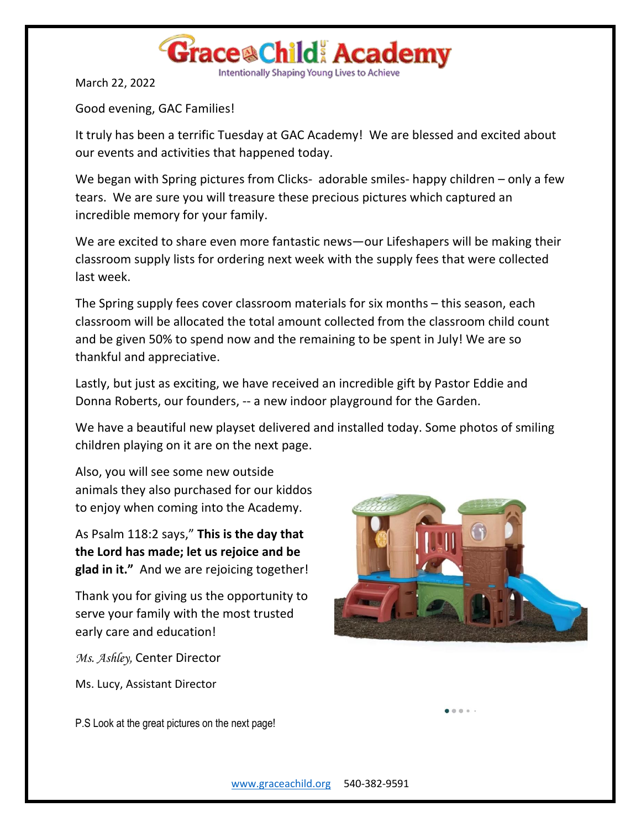

Intentionally Shaping Young Lives to Achieve

March 22, 2022

Good evening, GAC Families!

It truly has been a terrific Tuesday at GAC Academy! We are blessed and excited about our events and activities that happened today.

We began with Spring pictures from Clicks- adorable smiles- happy children – only a few tears. We are sure you will treasure these precious pictures which captured an incredible memory for your family.

We are excited to share even more fantastic news—our Lifeshapers will be making their classroom supply lists for ordering next week with the supply fees that were collected last week.

The Spring supply fees cover classroom materials for six months – this season, each classroom will be allocated the total amount collected from the classroom child count and be given 50% to spend now and the remaining to be spent in July! We are so thankful and appreciative.

Lastly, but just as exciting, we have received an incredible gift by Pastor Eddie and Donna Roberts, our founders, -- a new indoor playground for the Garden.

We have a beautiful new playset delivered and installed today. Some photos of smiling children playing on it are on the next page.

Also, you will see some new outside animals they also purchased for our kiddos to enjoy when coming into the Academy.

As Psalm 118:2 says," **This is the day that the Lord has made; let us rejoice and be glad in it."** And we are rejoicing together!

Thank you for giving us the opportunity to serve your family with the most trusted early care and education!

*Ms. Ashley,* Center Director

Ms. Lucy, Assistant Director

 $0.0.0.1$ 

P.S Look at the great pictures on the next page!